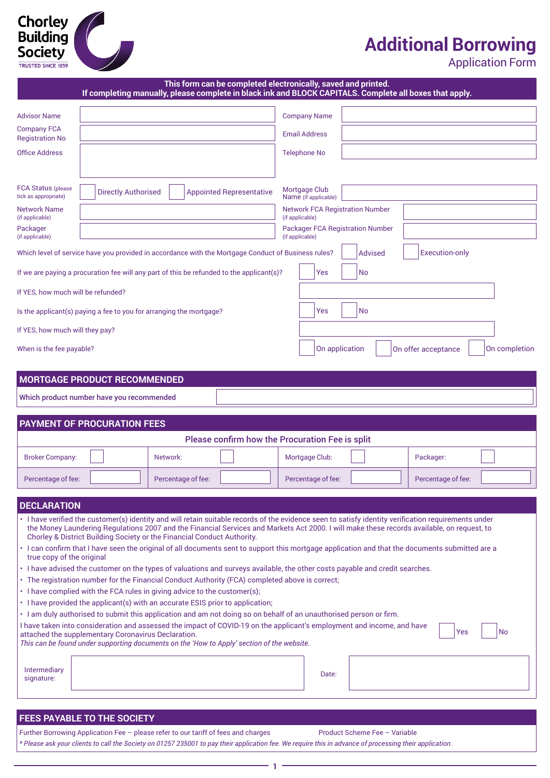## $\bigodot$ Chorley<br>Building<br>Society TRUSTED SINCE 1859

# **Additional Borrowing**

Application Form

|                                                   | If completing manually, please complete in black ink and BLOCK CAPITALS. Complete all boxes that apply.                                                                                                                                                                                                                                                                       |                    |                                 | This form can be completed electronically, saved and printed. |                |                       |               |
|---------------------------------------------------|-------------------------------------------------------------------------------------------------------------------------------------------------------------------------------------------------------------------------------------------------------------------------------------------------------------------------------------------------------------------------------|--------------------|---------------------------------|---------------------------------------------------------------|----------------|-----------------------|---------------|
| Advisor Name                                      |                                                                                                                                                                                                                                                                                                                                                                               |                    |                                 | <b>Company Name</b>                                           |                |                       |               |
| <b>Company FCA</b>                                |                                                                                                                                                                                                                                                                                                                                                                               |                    |                                 | <b>Email Address</b>                                          |                |                       |               |
| <b>Registration No</b><br><b>Office Address</b>   |                                                                                                                                                                                                                                                                                                                                                                               |                    |                                 | <b>Telephone No</b>                                           |                |                       |               |
|                                                   |                                                                                                                                                                                                                                                                                                                                                                               |                    |                                 |                                                               |                |                       |               |
| <b>FCA Status (please</b><br>tick as appropriate) | <b>Directly Authorised</b>                                                                                                                                                                                                                                                                                                                                                    |                    | <b>Appointed Representative</b> | Mortgage Club<br>Name (if applicable)                         |                |                       |               |
| <b>Network Name</b><br>(if applicable)            |                                                                                                                                                                                                                                                                                                                                                                               |                    |                                 | <b>Network FCA Registration Number</b><br>(if applicable)     |                |                       |               |
| Packager<br>(if applicable)                       |                                                                                                                                                                                                                                                                                                                                                                               |                    |                                 | <b>Packager FCA Registration Number</b><br>(if applicable)    |                |                       |               |
|                                                   | Which level of service have you provided in accordance with the Mortgage Conduct of Business rules?                                                                                                                                                                                                                                                                           |                    |                                 |                                                               | <b>Advised</b> | <b>Execution-only</b> |               |
|                                                   | If we are paying a procuration fee will any part of this be refunded to the applicant(s)?                                                                                                                                                                                                                                                                                     |                    |                                 | Yes                                                           | No             |                       |               |
| If YES, how much will be refunded?                |                                                                                                                                                                                                                                                                                                                                                                               |                    |                                 |                                                               |                |                       |               |
|                                                   | Is the applicant(s) paying a fee to you for arranging the mortgage?                                                                                                                                                                                                                                                                                                           |                    |                                 | Yes                                                           | <b>No</b>      |                       |               |
| If YES, how much will they pay?                   |                                                                                                                                                                                                                                                                                                                                                                               |                    |                                 |                                                               |                |                       |               |
| When is the fee payable?                          |                                                                                                                                                                                                                                                                                                                                                                               |                    |                                 | On application                                                |                | On offer acceptance   | On completion |
|                                                   | <b>MORTGAGE PRODUCT RECOMMENDED</b>                                                                                                                                                                                                                                                                                                                                           |                    |                                 |                                                               |                |                       |               |
|                                                   | Which product number have you recommended                                                                                                                                                                                                                                                                                                                                     |                    |                                 |                                                               |                |                       |               |
|                                                   |                                                                                                                                                                                                                                                                                                                                                                               |                    |                                 |                                                               |                |                       |               |
|                                                   | <b>PAYMENT OF PROCURATION FEES</b>                                                                                                                                                                                                                                                                                                                                            |                    |                                 | Please confirm how the Procuration Fee is split               |                |                       |               |
| <b>Broker Company:</b>                            |                                                                                                                                                                                                                                                                                                                                                                               | Network:           |                                 | Mortgage Club:                                                |                | Packager:             |               |
|                                                   |                                                                                                                                                                                                                                                                                                                                                                               |                    |                                 |                                                               |                |                       |               |
| Percentage of fee:                                |                                                                                                                                                                                                                                                                                                                                                                               | Percentage of fee: |                                 | Percentage of fee:                                            |                | Percentage of fee:    |               |
| <b>DECLARATION</b>                                |                                                                                                                                                                                                                                                                                                                                                                               |                    |                                 |                                                               |                |                       |               |
|                                                   | . I have verified the customer(s) identity and will retain suitable records of the evidence seen to satisfy identity verification requirements under<br>the Money Laundering Regulations 2007 and the Financial Services and Markets Act 2000. I will make these records available, on request, to<br>Chorley & District Building Society or the Financial Conduct Authority. |                    |                                 |                                                               |                |                       |               |
| true copy of the original                         | I can confirm that I have seen the original of all documents sent to support this mortgage application and that the documents submitted are a                                                                                                                                                                                                                                 |                    |                                 |                                                               |                |                       |               |
|                                                   | • I have advised the customer on the types of valuations and surveys available, the other costs payable and credit searches.                                                                                                                                                                                                                                                  |                    |                                 |                                                               |                |                       |               |
|                                                   | • The registration number for the Financial Conduct Authority (FCA) completed above is correct;<br>• I have complied with the FCA rules in giving advice to the customer(s);                                                                                                                                                                                                  |                    |                                 |                                                               |                |                       |               |
|                                                   | • I have provided the applicant(s) with an accurate ESIS prior to application;                                                                                                                                                                                                                                                                                                |                    |                                 |                                                               |                |                       |               |
|                                                   | • I am duly authorised to submit this application and am not doing so on behalf of an unauthorised person or firm.                                                                                                                                                                                                                                                            |                    |                                 |                                                               |                |                       |               |
|                                                   | I have taken into consideration and assessed the impact of COVID-19 on the applicant's employment and income, and have<br>attached the supplementary Coronavirus Declaration.<br>This can be found under supporting documents on the 'How to Apply' section of the website.                                                                                                   |                    |                                 |                                                               |                | Yes                   | No            |
|                                                   |                                                                                                                                                                                                                                                                                                                                                                               |                    |                                 |                                                               |                |                       |               |
| <b>Intermediary</b><br>signature:                 |                                                                                                                                                                                                                                                                                                                                                                               |                    |                                 | Date:                                                         |                |                       |               |
|                                                   |                                                                                                                                                                                                                                                                                                                                                                               |                    |                                 |                                                               |                |                       |               |
|                                                   | FEES PAYABLE TO THE SOCIETY                                                                                                                                                                                                                                                                                                                                                   |                    |                                 |                                                               |                |                       |               |

Further Borrowing Application Fee – please refer to our tariff of fees and charges Product Scheme Fee – Variable *\* Please ask your clients to call the Society on 01257 235001 to pay their application fee. We require this in advance of processing their application.*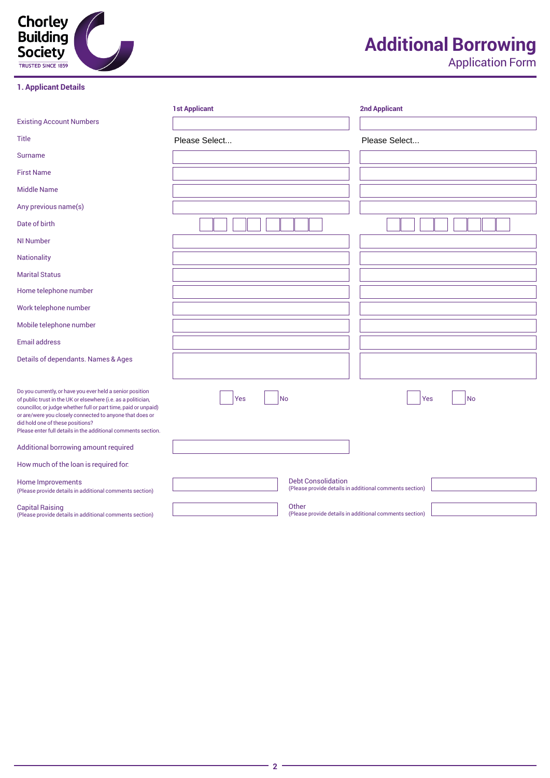

### **1. Applicant Details**

# **Additional Borrowing**

|                                                                                                                                                                                                                                                                                                                                                                | <b>1st Applicant</b>      | <b>2nd Applicant</b>                                    |
|----------------------------------------------------------------------------------------------------------------------------------------------------------------------------------------------------------------------------------------------------------------------------------------------------------------------------------------------------------------|---------------------------|---------------------------------------------------------|
| <b>Existing Account Numbers</b>                                                                                                                                                                                                                                                                                                                                |                           |                                                         |
| <b>Title</b>                                                                                                                                                                                                                                                                                                                                                   | Please Select             | Please Select                                           |
| <b>Surname</b>                                                                                                                                                                                                                                                                                                                                                 |                           |                                                         |
| <b>First Name</b>                                                                                                                                                                                                                                                                                                                                              |                           |                                                         |
| <b>Middle Name</b>                                                                                                                                                                                                                                                                                                                                             |                           |                                                         |
| Any previous name(s)                                                                                                                                                                                                                                                                                                                                           |                           |                                                         |
| Date of birth                                                                                                                                                                                                                                                                                                                                                  |                           |                                                         |
| <b>NI Number</b>                                                                                                                                                                                                                                                                                                                                               |                           |                                                         |
| <b>Nationality</b>                                                                                                                                                                                                                                                                                                                                             |                           |                                                         |
| <b>Marital Status</b>                                                                                                                                                                                                                                                                                                                                          |                           |                                                         |
| Home telephone number                                                                                                                                                                                                                                                                                                                                          |                           |                                                         |
| Work telephone number                                                                                                                                                                                                                                                                                                                                          |                           |                                                         |
| Mobile telephone number                                                                                                                                                                                                                                                                                                                                        |                           |                                                         |
| <b>Email address</b>                                                                                                                                                                                                                                                                                                                                           |                           |                                                         |
| Details of dependants. Names & Ages                                                                                                                                                                                                                                                                                                                            |                           |                                                         |
| Do you currently, or have you ever held a senior position<br>of public trust in the UK or elsewhere (i.e. as a politician,<br>councillor, or judge whether full or part time, paid or unpaid)<br>or are/were you closely connected to anyone that does or<br>did hold one of these positions?<br>Please enter full details in the additional comments section. | <b>No</b><br>Yes          | <b>No</b><br>Yes                                        |
| Additional borrowing amount required                                                                                                                                                                                                                                                                                                                           |                           |                                                         |
| How much of the loan is required for:                                                                                                                                                                                                                                                                                                                          |                           |                                                         |
| Home Improvements<br>(Please provide details in additional comments section)                                                                                                                                                                                                                                                                                   | <b>Debt Consolidation</b> | (Please provide details in additional comments section) |
| <b>Capital Raising</b><br>(Please provide details in additional comments section)                                                                                                                                                                                                                                                                              | Other                     | (Please provide details in additional comments section) |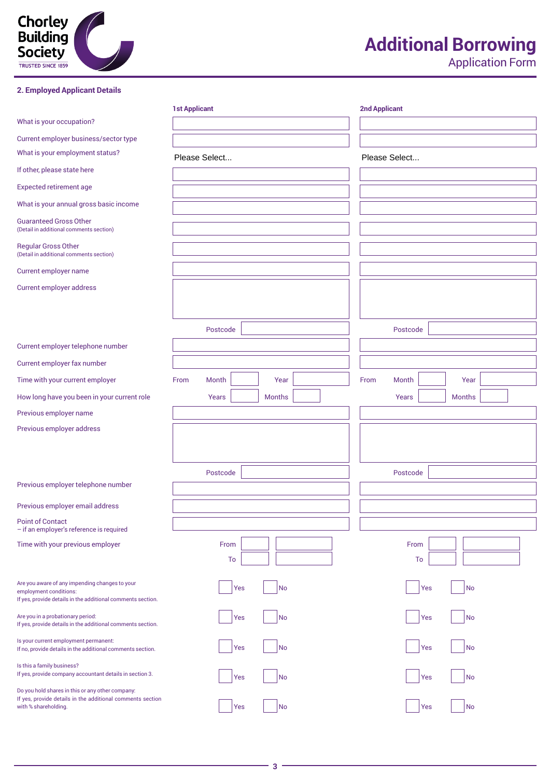

### **2. Employed Applicant Details**

# **Additional Borrowing**

|                                                                                                                                         | <b>1st Applicant</b> |     |               | <b>2nd Applicant</b> |               |     |               |  |
|-----------------------------------------------------------------------------------------------------------------------------------------|----------------------|-----|---------------|----------------------|---------------|-----|---------------|--|
| What is your occupation?                                                                                                                |                      |     |               |                      |               |     |               |  |
| Current employer business/sector type                                                                                                   |                      |     |               |                      |               |     |               |  |
| What is your employment status?                                                                                                         | Please Select        |     |               |                      | Please Select |     |               |  |
| If other, please state here                                                                                                             |                      |     |               |                      |               |     |               |  |
| <b>Expected retirement age</b>                                                                                                          |                      |     |               |                      |               |     |               |  |
| What is your annual gross basic income                                                                                                  |                      |     |               |                      |               |     |               |  |
| <b>Guaranteed Gross Other</b><br>(Detail in additional comments section)                                                                |                      |     |               |                      |               |     |               |  |
| <b>Regular Gross Other</b><br>(Detail in additional comments section)                                                                   |                      |     |               |                      |               |     |               |  |
| Current employer name                                                                                                                   |                      |     |               |                      |               |     |               |  |
| Current employer address                                                                                                                |                      |     |               |                      |               |     |               |  |
|                                                                                                                                         | Postcode             |     |               |                      | Postcode      |     |               |  |
| Current employer telephone number                                                                                                       |                      |     |               |                      |               |     |               |  |
| Current employer fax number                                                                                                             |                      |     |               |                      |               |     |               |  |
| Time with your current employer                                                                                                         | Month<br>From        |     | Year          | From                 | Month         |     | Year          |  |
| How long have you been in your current role                                                                                             | Years                |     | <b>Months</b> |                      | Years         |     | <b>Months</b> |  |
| Previous employer name                                                                                                                  |                      |     |               |                      |               |     |               |  |
| Previous employer address                                                                                                               |                      |     |               |                      |               |     |               |  |
|                                                                                                                                         | Postcode             |     |               |                      | Postcode      |     |               |  |
| Previous employer telephone number                                                                                                      |                      |     |               |                      |               |     |               |  |
| Previous employer email address                                                                                                         |                      |     |               |                      |               |     |               |  |
| <b>Point of Contact</b><br>- if an employer's reference is required                                                                     |                      |     |               |                      |               |     |               |  |
| Time with your previous employer                                                                                                        | From                 | To  |               |                      | From          | To  |               |  |
| Are you aware of any impending changes to your<br>employment conditions:<br>If yes, provide details in the additional comments section. |                      | Yes | <b>No</b>     |                      |               | Yes | No            |  |
| Are you in a probationary period:<br>If yes, provide details in the additional comments section.                                        |                      | Yes | <b>No</b>     |                      |               | Yes | No            |  |
| Is your current employment permanent:<br>If no, provide details in the additional comments section.                                     |                      | Yes | <b>No</b>     |                      |               | Yes | No            |  |
| Is this a family business?<br>If yes, provide company accountant details in section 3.                                                  |                      | Yes | No            |                      |               | Yes | No            |  |
| Do you hold shares in this or any other company:<br>If yes, provide details in the additional comments section<br>with % shareholding.  |                      | Yes | No            |                      |               | Yes | <b>No</b>     |  |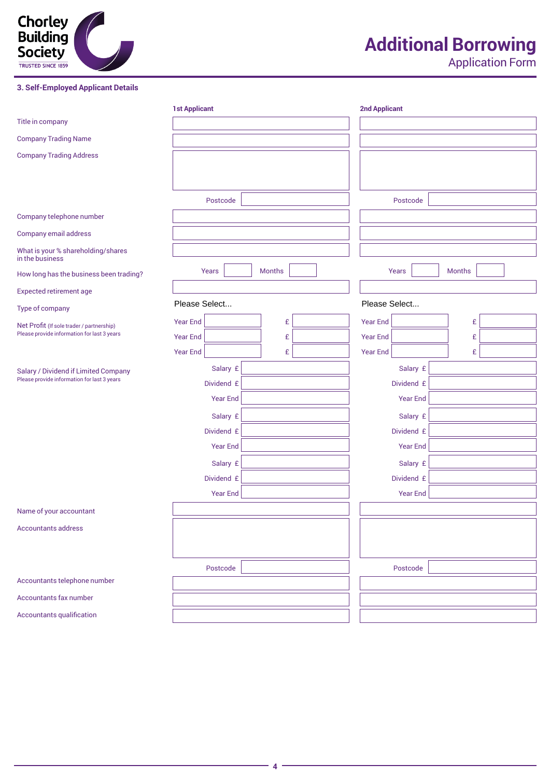

**3. Self-Employed Applicant Details**

# **Additional Borrowing**

|                                                       | <b>1st Applicant</b> |               | <b>2nd Applicant</b> |                 |               |  |
|-------------------------------------------------------|----------------------|---------------|----------------------|-----------------|---------------|--|
| Title in company                                      |                      |               |                      |                 |               |  |
| <b>Company Trading Name</b>                           |                      |               |                      |                 |               |  |
| <b>Company Trading Address</b>                        |                      |               |                      |                 |               |  |
|                                                       |                      |               |                      |                 |               |  |
|                                                       |                      |               |                      |                 |               |  |
|                                                       | Postcode             |               |                      | Postcode        |               |  |
| Company telephone number                              |                      |               |                      |                 |               |  |
| Company email address                                 |                      |               |                      |                 |               |  |
| What is your % shareholding/shares<br>in the business |                      |               |                      |                 |               |  |
| How long has the business been trading?               | Years                | <b>Months</b> |                      | Years           | <b>Months</b> |  |
| <b>Expected retirement age</b>                        |                      |               |                      |                 |               |  |
| Type of company                                       | Please Select        |               | Please Select        |                 |               |  |
| Net Profit (If sole trader / partnership)             | <b>Year End</b>      | £             | <b>Year End</b>      |                 | £             |  |
| Please provide information for last 3 years           | <b>Year End</b>      | £             | <b>Year End</b>      |                 | £             |  |
|                                                       | <b>Year End</b>      | £             | <b>Year End</b>      |                 | £             |  |
| Salary / Dividend if Limited Company                  | Salary £             |               |                      | Salary £        |               |  |
| Please provide information for last 3 years           | Dividend £           |               |                      | Dividend £      |               |  |
|                                                       | <b>Year End</b>      |               |                      | <b>Year End</b> |               |  |
|                                                       | Salary £             |               |                      | Salary £        |               |  |
|                                                       | Dividend £           |               |                      | Dividend £      |               |  |
|                                                       | <b>Year End</b>      |               |                      | <b>Year End</b> |               |  |
|                                                       | Salary £             |               |                      | Salary £        |               |  |
|                                                       | Dividend £           |               |                      | Dividend £      |               |  |
|                                                       | Year End             |               |                      | <b>Year End</b> |               |  |
| Name of your accountant                               |                      |               |                      |                 |               |  |
| <b>Accountants address</b>                            |                      |               |                      |                 |               |  |
|                                                       |                      |               |                      |                 |               |  |
|                                                       | Postcode             |               |                      | Postcode        |               |  |
| Accountants telephone number                          |                      |               |                      |                 |               |  |
| Accountants fax number                                |                      |               |                      |                 |               |  |
| Accountants qualification                             |                      |               |                      |                 |               |  |
|                                                       |                      |               |                      |                 |               |  |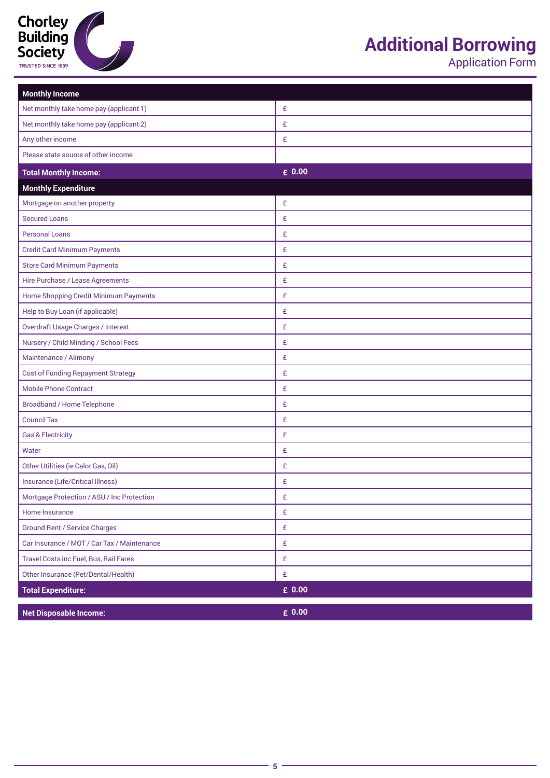

## **Additional Borrowing**

| <b>Monthly Income</b>                       |                 |
|---------------------------------------------|-----------------|
| Net monthly take home pay (applicant 1)     | £               |
| Net monthly take home pay (applicant 2)     | £               |
| Any other income                            | £               |
| Please state source of other income         |                 |
| <b>Total Monthly Income:</b>                | $\epsilon$ 0.00 |
| <b>Monthly Expenditure</b>                  |                 |
| Mortgage on another property                | £               |
| <b>Secured Loans</b>                        | £               |
| <b>Personal Loans</b>                       | £               |
| <b>Credit Card Minimum Payments</b>         | £               |
| <b>Store Card Minimum Payments</b>          | £               |
| Hire Purchase / Lease Agreements            | £               |
| Home Shopping Credit Minimum Payments       | £               |
| Help to Buy Loan (if applicable)            | £               |
| <b>Overdraft Usage Charges / Interest</b>   | £               |
| Nursery / Child Minding / School Fees       | £               |
| Maintenance / Alimony                       | £               |
| <b>Cost of Funding Repayment Strategy</b>   | £               |
| <b>Mobile Phone Contract</b>                | £               |
| <b>Broadband / Home Telephone</b>           | £               |
| <b>Council Tax</b>                          | £               |
| <b>Gas &amp; Electricity</b>                | £               |
| Water                                       | £               |
| Other Utilities (ie Calor Gas, Oil)         | £               |
| Insurance (Life/Critical Illness)           | £               |
| Mortgage Protection / ASU / Inc Protection  | £               |
| Home Insurance                              | £               |
| <b>Ground Rent / Service Charges</b>        | £               |
| Car Insurance / MOT / Car Tax / Maintenance | £               |
| Travel Costs inc Fuel, Bus, Rail Fares      | £               |
| Other Insurance (Pet/Dental/Health)         | £               |
| <b>Total Expenditure:</b>                   | $E$ 0.00        |
| <b>Net Disposable Income:</b>               | $\epsilon$ 0.00 |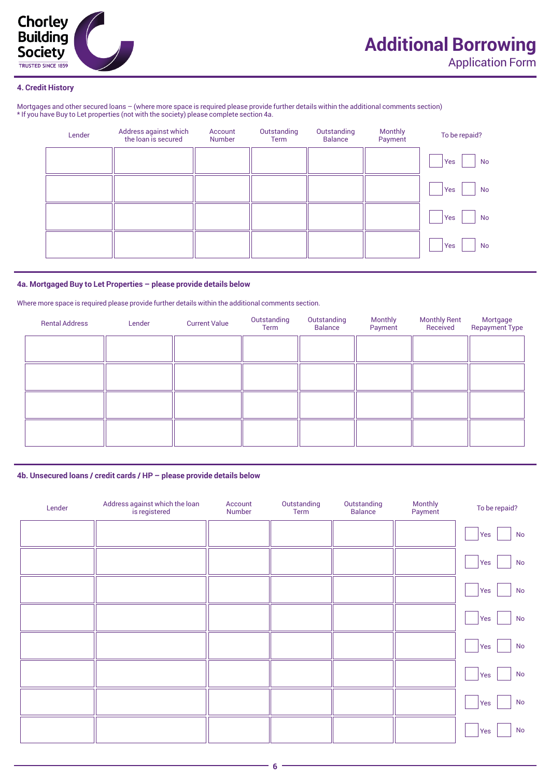

### **4. Credit History**

Mortgages and other secured loans – (where more space is required please provide further details within the additional comments section) \* If you have Buy to Let properties (not with the society) please complete section 4a.

| Lender | Address against which<br>the loan is secured | Account<br><b>Number</b> | Outstanding<br>Term | Outstanding<br><b>Balance</b> | Monthly<br>Payment | To be repaid?    |
|--------|----------------------------------------------|--------------------------|---------------------|-------------------------------|--------------------|------------------|
|        |                                              |                          |                     |                               |                    | Yes<br>No        |
|        |                                              |                          |                     |                               |                    | <b>No</b><br>Yes |
|        |                                              |                          |                     |                               |                    | Yes<br><b>No</b> |
|        |                                              |                          |                     |                               |                    | Yes<br><b>No</b> |

### **4a. Mortgaged Buy to Let Properties – please provide details below**

Where more space is required please provide further details within the additional comments section.

| <b>Rental Address</b> | Lender | <b>Current Value</b> | Outstanding<br>Term | Outstanding<br><b>Balance</b> | Monthly<br>Payment | <b>Monthly Rent</b><br>Received | Mortgage<br><b>Repayment Type</b> |
|-----------------------|--------|----------------------|---------------------|-------------------------------|--------------------|---------------------------------|-----------------------------------|
|                       |        |                      |                     |                               |                    |                                 |                                   |
|                       |        |                      |                     |                               |                    |                                 |                                   |
|                       |        |                      |                     |                               |                    |                                 |                                   |
|                       |        |                      |                     |                               |                    |                                 |                                   |
|                       |        |                      |                     |                               |                    |                                 |                                   |

### **4b. Unsecured loans / credit cards / HP – please provide details below**

| Lender | Address against which the loan<br>is registered | Account<br>Number | Outstanding<br>Term | Outstanding<br>Balance | Monthly<br>Payment | To be repaid?        |
|--------|-------------------------------------------------|-------------------|---------------------|------------------------|--------------------|----------------------|
|        |                                                 |                   |                     |                        |                    | No<br>Yes            |
|        |                                                 |                   |                     |                        |                    | Yes<br>No            |
|        |                                                 |                   |                     |                        |                    | Yes<br>No            |
|        |                                                 |                   |                     |                        |                    | Yes<br>$\mathsf{No}$ |
|        |                                                 |                   |                     |                        |                    | $\mathsf{No}$<br>Yes |
|        |                                                 |                   |                     |                        |                    | No<br>Yes            |
|        |                                                 |                   |                     |                        |                    | No<br>Yes            |
|        |                                                 |                   |                     |                        |                    | No<br>Yes            |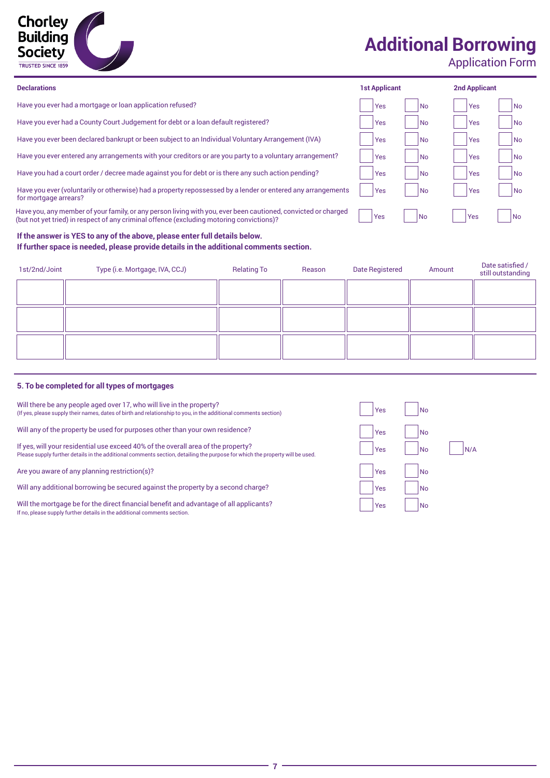

## **Additional Borrowing**

Application Form

| <b>Declarations</b>                                                                                                                                                                                       | <b>1st Applicant</b> |      | <b>2nd Applicant</b> |                |
|-----------------------------------------------------------------------------------------------------------------------------------------------------------------------------------------------------------|----------------------|------|----------------------|----------------|
| Have you ever had a mortgage or loan application refused?                                                                                                                                                 | <b>Yes</b>           | l No | Yes                  | l No           |
| Have you ever had a County Court Judgement for debt or a loan default registered?                                                                                                                         | Yes                  | l No | Yes                  | <b>No</b>      |
| Have you ever been declared bankrupt or been subject to an Individual Voluntary Arrangement (IVA)                                                                                                         | Yes                  | l No | Yes                  | <b>No</b>      |
| Have you ever entered any arrangements with your creditors or are you party to a voluntary arrangement?                                                                                                   | l Yes                | l No | Yes                  | <b>No</b>      |
| Have you had a court order / decree made against you for debt or is there any such action pending?                                                                                                        | Yes                  | l No | Yes                  | <b>No</b>      |
| Have you ever (voluntarily or otherwise) had a property repossessed by a lender or entered any arrangements<br>for mortgage arrears?                                                                      | Yes                  | l No | Yes                  | <b>No</b>      |
| Have you, any member of your family, or any person living with you, ever been cautioned, convicted or charged<br>(but not yet tried) in respect of any criminal offence (excluding motoring convictions)? | Yes                  | l No | <b>Yes</b>           | N <sub>o</sub> |

### **If the answer is YES to any of the above, please enter full details below. If further space is needed, please provide details in the additional comments section.**

| 1st/2nd/Joint | Type (i.e. Mortgage, IVA, CCJ) | <b>Relating To</b> | Reason | <b>Date Registered</b> | Amount | Date satisfied /<br>still outstanding |
|---------------|--------------------------------|--------------------|--------|------------------------|--------|---------------------------------------|
|               |                                |                    |        |                        |        |                                       |
|               |                                |                    |        |                        |        |                                       |
|               |                                |                    |        |                        |        |                                       |
|               |                                |                    |        |                        |        |                                       |
|               |                                |                    |        |                        |        |                                       |
|               |                                |                    |        |                        |        |                                       |

### **5. To be completed for all types of mortgages**

| Will there be any people aged over 17, who will live in the property?                                           |
|-----------------------------------------------------------------------------------------------------------------|
| (If yes, please supply their names, dates of birth and relationship to you, in the additional comments section) |

Will any of the property be used for purposes other than your own residence?

If yes, will your residential use exceed 40% of the overall area of the property? Please supply further details in the additional comments section, detailing the purpose for which the property will be used.

Are you aware of any planning restriction(s)?

Will any additional borrowing be secured against the property by a second charge?

Will the mortgage be for the direct financial benefit and advantage of all applicants? If no, please supply further details in the additional comments section.

| Yes | No        |     |
|-----|-----------|-----|
| Yes | No        |     |
| Yes | <b>No</b> | N/A |
| Yes | No        |     |
| Yes | No        |     |
| Yes | No        |     |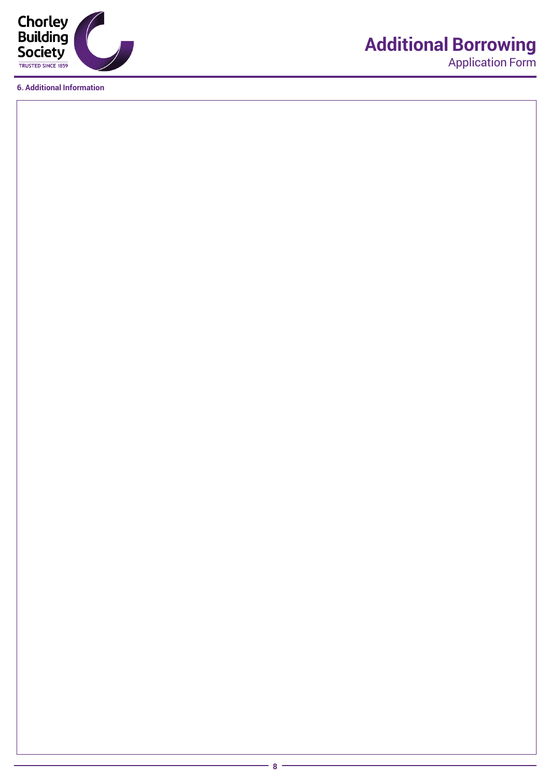

**6. Additional Information**

# **Additional Borrowing**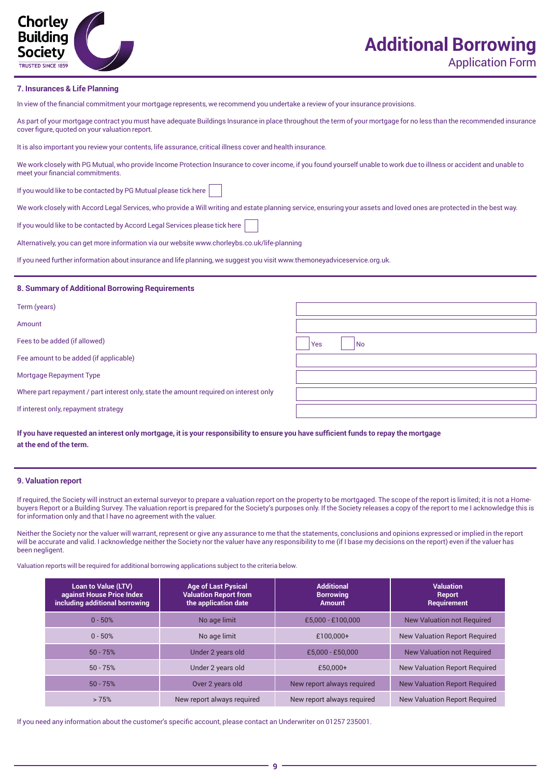

### **Additional Borrowing** Application Form

### **7. Insurances & Life Planning**

In view of the financial commitment your mortgage represents, we recommend you undertake a review of your insurance provisions.

As part of your mortgage contract you must have adequate Buildings Insurance in place throughout the term of your mortgage for no less than the recommended insurance cover figure, quoted on your valuation report.

It is also important you review your contents, life assurance, critical illness cover and health insurance.

We work closely with PG Mutual, who provide Income Protection Insurance to cover income, if you found yourself unable to work due to illness or accident and unable to meet your financial commitments.

If you would like to be contacted by PG Mutual please tick here

We work closely with Accord Legal Services, who provide a Will writing and estate planning service, ensuring your assets and loved ones are protected in the best way.

If you would like to be contacted by Accord Legal Services please tick here

Alternatively, you can get more information via our website www.chorleybs.co.uk/life-planning

If you need further information about insurance and life planning, we suggest you visit www.themoneyadviceservice.org.uk.

### **8. Summary of Additional Borrowing Requirements**

| Term (years)                                                                          |                  |
|---------------------------------------------------------------------------------------|------------------|
| Amount                                                                                |                  |
| Fees to be added (if allowed)                                                         | Yes<br><b>No</b> |
| Fee amount to be added (if applicable)                                                |                  |
| Mortgage Repayment Type                                                               |                  |
| Where part repayment / part interest only, state the amount required on interest only |                  |
| If interest only, repayment strategy                                                  |                  |

**If you have requested an interest only mortgage, it is your responsibility to ensure you have sufficient funds to repay the mortgage at the end of the term.**

### **9. Valuation report**

If required, the Society will instruct an external surveyor to prepare a valuation report on the property to be mortgaged. The scope of the report is limited; it is not a Homebuyers Report or a Building Survey. The valuation report is prepared for the Society's purposes only. If the Society releases a copy of the report to me I acknowledge this is for information only and that I have no agreement with the valuer.

Neither the Society nor the valuer will warrant, represent or give any assurance to me that the statements, conclusions and opinions expressed or implied in the report will be accurate and valid. I acknowledge neither the Society nor the valuer have any responsibility to me (if I base my decisions on the report) even if the valuer has been negligent.

Valuation reports will be required for additional borrowing applications subject to the criteria below.

| <b>Loan to Value (LTV)</b><br>against House Price Index<br>including additional borrowing | <b>Age of Last Pysical</b><br><b>Valuation Report from</b><br>the application date | <b>Additional</b><br><b>Borrowing</b><br><b>Amount</b> | <b>Valuation</b><br><b>Report</b><br>Requirement |
|-------------------------------------------------------------------------------------------|------------------------------------------------------------------------------------|--------------------------------------------------------|--------------------------------------------------|
| $0 - 50%$                                                                                 | No age limit                                                                       | $£5.000 - £100.000$                                    | <b>New Valuation not Required</b>                |
| $0 - 50%$                                                                                 | No age limit                                                                       | £100.000+                                              | <b>New Valuation Report Required</b>             |
| $50 - 75%$                                                                                | Under 2 years old                                                                  | $£5.000 - £50.000$                                     | <b>New Valuation not Required</b>                |
| $50 - 75%$                                                                                | Under 2 years old                                                                  | £50.000+                                               | <b>New Valuation Report Required</b>             |
| $50 - 75%$                                                                                | Over 2 years old                                                                   | New report always required                             | <b>New Valuation Report Required</b>             |
| >75%                                                                                      | New report always required                                                         | New report always required                             | <b>New Valuation Report Required</b>             |

If you need any information about the customer's specific account, please contact an Underwriter on 01257 235001.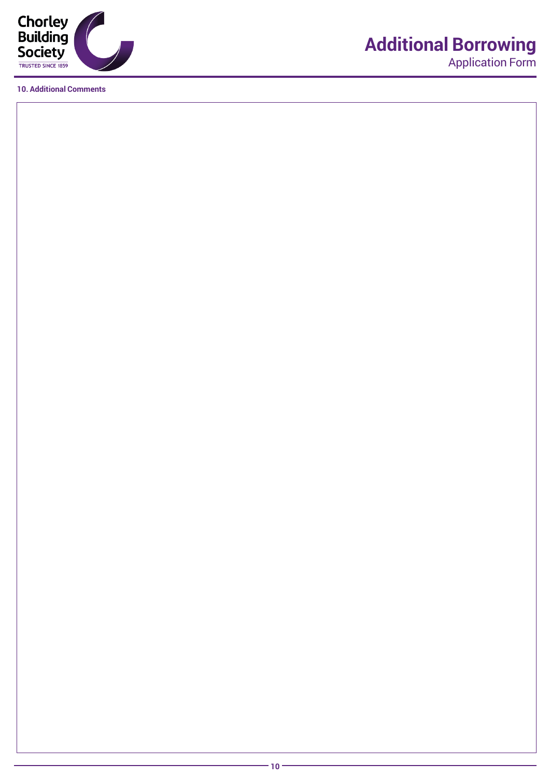

**10. Additional Comments**

## **Additional Borrowing**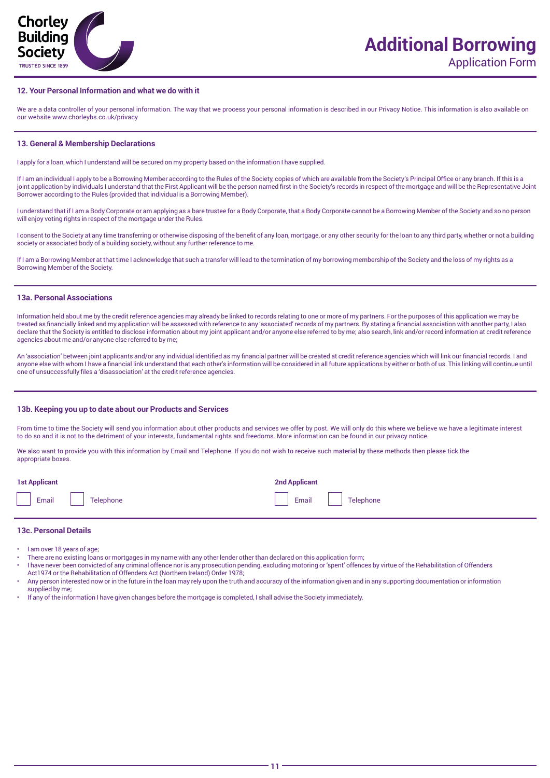

### **12. Your Personal Information and what we do with it**

We are a data controller of your personal information. The way that we process your personal information is described in our Privacy Notice. This information is also available on our website www.chorleybs.co.uk/privacy

#### **13. General & Membership Declarations**

I apply for a loan, which I understand will be secured on my property based on the information I have supplied.

If I am an individual I apply to be a Borrowing Member according to the Rules of the Society, copies of which are available from the Society's Principal Office or any branch. If this is a joint application by individuals I understand that the First Applicant will be the person named first in the Society's records in respect of the mortgage and will be the Representative Joint Borrower according to the Rules (provided that individual is a Borrowing Member).

I understand that if I am a Body Corporate or am applying as a bare trustee for a Body Corporate, that a Body Corporate cannot be a Borrowing Member of the Society and so no person will enjoy voting rights in respect of the mortgage under the Rules.

I consent to the Society at any time transferring or otherwise disposing of the benefit of any loan, mortgage, or any other security for the loan to any third party, whether or not a building society or associated body of a building society, without any further reference to me.

If I am a Borrowing Member at that time I acknowledge that such a transfer will lead to the termination of my borrowing membership of the Society and the loss of my rights as a Borrowing Member of the Society.

### **13a. Personal Associations**

Information held about me by the credit reference agencies may already be linked to records relating to one or more of my partners. For the purposes of this application we may be treated as financially linked and my application will be assessed with reference to any 'associated' records of my partners. By stating a financial association with another party, I also declare that the Society is entitled to disclose information about my joint applicant and/or anyone else referred to by me; also search, link and/or record information at credit reference agencies about me and/or anyone else referred to by me;

An 'association' between joint applicants and/or any individual identified as my financial partner will be created at credit reference agencies which will link our financial records. I and anyone else with whom I have a financial link understand that each other's information will be considered in all future applications by either or both of us. This linking will continue until one of unsuccessfully files a 'disassociation' at the credit reference agencies.

### **13b. Keeping you up to date about our Products and Services**

From time to time the Society will send you information about other products and services we offer by post. We will only do this where we believe we have a legitimate interest to do so and it is not to the detriment of your interests, fundamental rights and freedoms. More information can be found in our privacy notice.

We also want to provide you with this information by Email and Telephone. If you do not wish to receive such material by these methods then please tick the appropriate boxes.

| 1 st Applicant  | <b>2nd Applicant</b> |
|-----------------|----------------------|
| Email Telephone | Email Telephone      |

#### **13c. Personal Details**

- I am over 18 years of age;
- There are no existing loans or mortgages in my name with any other lender other than declared on this application form;
- I have never been convicted of any criminal offence nor is any prosecution pending, excluding motoring or 'spent' offences by virtue of the Rehabilitation of Offenders Act1974 or the Rehabilitation of Offenders Act (Northern Ireland) Order 1978;
- Any person interested now or in the future in the loan may rely upon the truth and accuracy of the information given and in any supporting documentation or information supplied by me:
- If any of the information I have given changes before the mortgage is completed, I shall advise the Society immediately.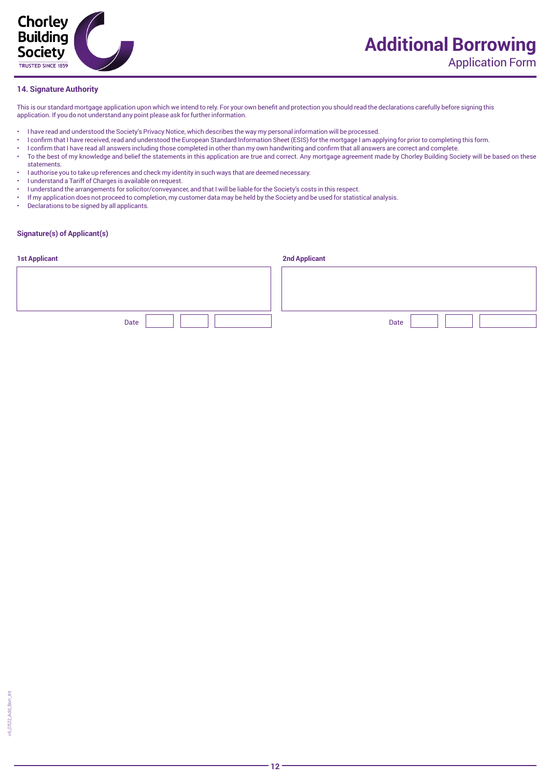

### **14. Signature Authority**

This is our standard mortgage application upon which we intend to rely. For your own benefit and protection you should read the declarations carefully before signing this application. If you do not understand any point please ask for further information.

- I have read and understood the Society's Privacy Notice, which describes the way my personal information will be processed.
- I confirm that I have received, read and understood the European Standard Information Sheet (ESIS) for the mortgage I am applying for prior to completing this form.
- I confirm that I have read all answers including those completed in other than my own handwriting and confirm that all answers are correct and complete.
- To the best of my knowledge and belief the statements in this application are true and correct. Any mortgage agreement made by Chorley Building Society will be based on these statements.
- I authorise you to take up references and check my identity in such ways that are deemed necessary.
- I understand a Tariff of Charges is available on request.
- I understand the arrangements for solicitor/conveyancer, and that I will be liable for the Society's costs in this respect.
- If my application does not proceed to completion, my customer data may be held by the Society and be used for statistical analysis.
- Declarations to be signed by all applicants.

### **Signature(s) of Applicant(s)**

| <b>1st Applicant</b> | <b>2nd Applicant</b> |
|----------------------|----------------------|
|                      |                      |
|                      |                      |
|                      |                      |
| Date                 | Date                 |